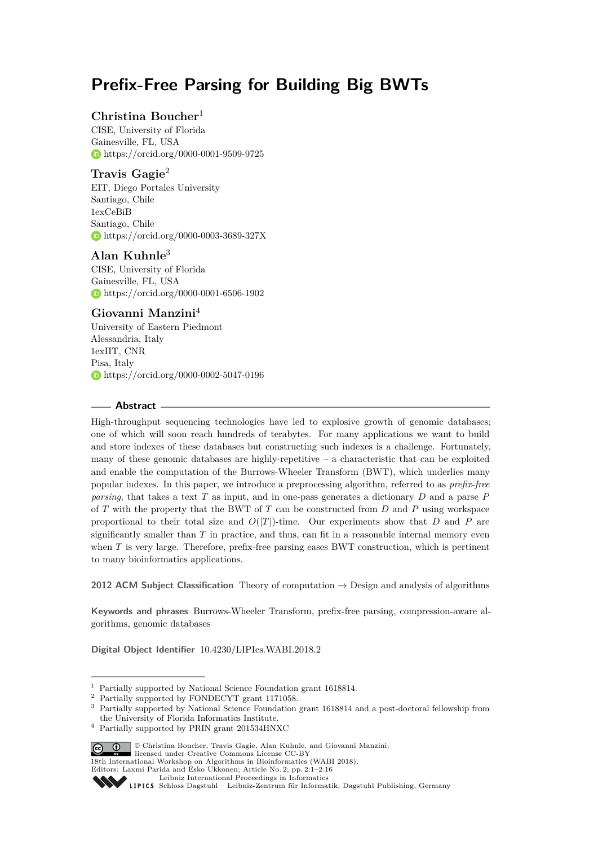# **Prefix-Free Parsing for Building Big BWTs**

### **Christina Boucher**<sup>1</sup>

CISE, University of Florida Gainesville, FL, USA <https://orcid.org/0000-0001-9509-9725>

### **Travis Gagie**<sup>2</sup>

EIT, Diego Portales University Santiago, Chile 1exCeBiB Santiago, Chile <https://orcid.org/0000-0003-3689-327X>

### **Alan Kuhnle**<sup>3</sup>

CISE, University of Florida Gainesville, FL, USA <https://orcid.org/0000-0001-6506-1902>

### **Giovanni Manzini**<sup>4</sup>

University of Eastern Piedmont Alessandria, Italy 1exIIT, CNR Pisa, Italy <https://orcid.org/0000-0002-5047-0196>

### **Abstract**

High-throughput sequencing technologies have led to explosive growth of genomic databases; one of which will soon reach hundreds of terabytes. For many applications we want to build and store indexes of these databases but constructing such indexes is a challenge. Fortunately, many of these genomic databases are highly-repetitive  $-$  a characteristic that can be exploited and enable the computation of the Burrows-Wheeler Transform (BWT), which underlies many popular indexes. In this paper, we introduce a preprocessing algorithm, referred to as *prefix-free parsing*, that takes a text *T* as input, and in one-pass generates a dictionary *D* and a parse *P* of *T* with the property that the BWT of *T* can be constructed from *D* and *P* using workspace proportional to their total size and  $O(|T|)$ -time. Our experiments show that *D* and *P* are significantly smaller than  $T$  in practice, and thus, can fit in a reasonable internal memory even when *T* is very large. Therefore, prefix-free parsing eases BWT construction, which is pertinent to many bioinformatics applications.

**2012 ACM Subject Classification** Theory of computation → Design and analysis of algorithms

**Keywords and phrases** Burrows-Wheeler Transform, prefix-free parsing, compression-aware algorithms, genomic databases

**Digital Object Identifier** [10.4230/LIPIcs.WABI.2018.2](http://dx.doi.org/10.4230/LIPIcs.WABI.2018.2)

<sup>4</sup> Partially supported by PRIN grant 201534HNXC



<sup>©</sup> Christina Boucher, Travis Gagie, Alan Kuhnle, and Giovanni Manzini; licensed under Creative Commons License CC-BY

<sup>1</sup> Partially supported by National Science Foundation grant 1618814.

<sup>2</sup> Partially supported by FONDECYT grant 1171058.

<sup>3</sup> Partially supported by National Science Foundation grant 1618814 and a post-doctoral fellowship from the University of Florida Informatics Institute.

<sup>18</sup>th International Workshop on Algorithms in Bioinformatics (WABI 2018).

Editors: Laxmi Parida and Esko Ukkonen; Article No. 2; pp. 2:1–2[:16](#page-15-0)

[Leibniz International Proceedings in Informatics](http://www.dagstuhl.de/lipics/)

Leibniz international ruceedings in miorimetric<br>
LIPICS [Schloss Dagstuhl – Leibniz-Zentrum für Informatik, Dagstuhl Publishing, Germany](http://www.dagstuhl.de)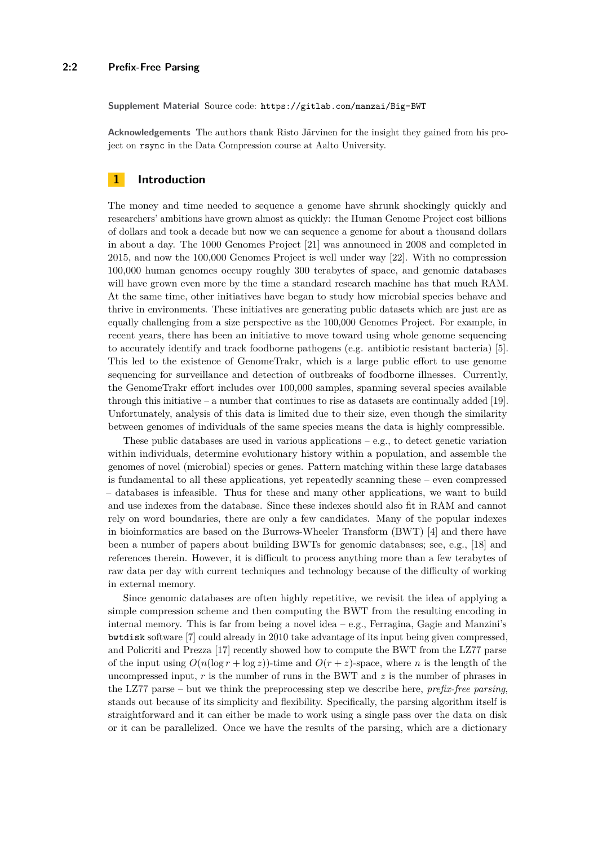**Supplement Material** Source code: <https://gitlab.com/manzai/Big-BWT>

**Acknowledgements** The authors thank Risto Järvinen for the insight they gained from his project on rsync in the Data Compression course at Aalto University.

### <span id="page-1-0"></span>**1 Introduction**

The money and time needed to sequence a genome have shrunk shockingly quickly and researchers' ambitions have grown almost as quickly: the Human Genome Project cost billions of dollars and took a decade but now we can sequence a genome for about a thousand dollars in about a day. The 1000 Genomes Project [\[21\]](#page-15-1) was announced in 2008 and completed in 2015, and now the 100,000 Genomes Project is well under way [\[22\]](#page-15-2). With no compression 100,000 human genomes occupy roughly 300 terabytes of space, and genomic databases will have grown even more by the time a standard research machine has that much RAM. At the same time, other initiatives have began to study how microbial species behave and thrive in environments. These initiatives are generating public datasets which are just are as equally challenging from a size perspective as the 100,000 Genomes Project. For example, in recent years, there has been an initiative to move toward using whole genome sequencing to accurately identify and track foodborne pathogens (e.g. antibiotic resistant bacteria) [\[5\]](#page-14-0). This led to the existence of GenomeTrakr, which is a large public effort to use genome sequencing for surveillance and detection of outbreaks of foodborne illnesses. Currently, the GenomeTrakr effort includes over 100,000 samples, spanning several species available through this initiative – a number that continues to rise as datasets are continually added [\[19\]](#page-15-3). Unfortunately, analysis of this data is limited due to their size, even though the similarity between genomes of individuals of the same species means the data is highly compressible.

These public databases are used in various applications  $-\mathrm{e.g.}$ , to detect genetic variation within individuals, determine evolutionary history within a population, and assemble the genomes of novel (microbial) species or genes. Pattern matching within these large databases is fundamental to all these applications, yet repeatedly scanning these – even compressed – databases is infeasible. Thus for these and many other applications, we want to build and use indexes from the database. Since these indexes should also fit in RAM and cannot rely on word boundaries, there are only a few candidates. Many of the popular indexes in bioinformatics are based on the Burrows-Wheeler Transform (BWT) [\[4\]](#page-14-1) and there have been a number of papers about building BWTs for genomic databases; see, e.g., [\[18\]](#page-15-4) and references therein. However, it is difficult to process anything more than a few terabytes of raw data per day with current techniques and technology because of the difficulty of working in external memory.

Since genomic databases are often highly repetitive, we revisit the idea of applying a simple compression scheme and then computing the BWT from the resulting encoding in internal memory. This is far from being a novel idea – e.g., Ferragina, Gagie and Manzini's bwtdisk software [\[7\]](#page-14-2) could already in 2010 take advantage of its input being given compressed, and Policriti and Prezza [\[17\]](#page-15-5) recently showed how to compute the BWT from the LZ77 parse of the input using  $O(n(\log r + \log z))$ -time and  $O(r + z)$ -space, where *n* is the length of the uncompressed input, *r* is the number of runs in the BWT and *z* is the number of phrases in the LZ77 parse – but we think the preprocessing step we describe here, *prefix-free parsing*, stands out because of its simplicity and flexibility. Specifically, the parsing algorithm itself is straightforward and it can either be made to work using a single pass over the data on disk or it can be parallelized. Once we have the results of the parsing, which are a dictionary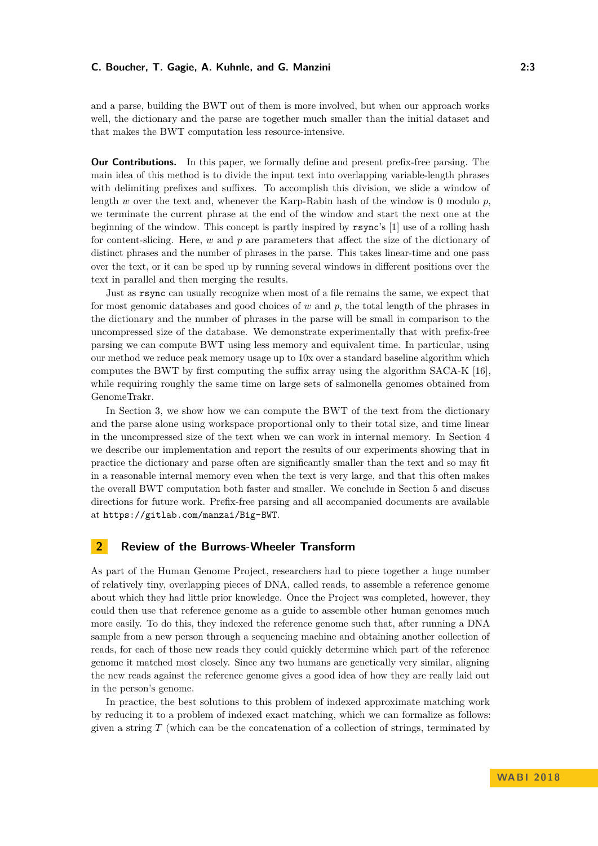and a parse, building the BWT out of them is more involved, but when our approach works well, the dictionary and the parse are together much smaller than the initial dataset and that makes the BWT computation less resource-intensive.

**Our Contributions.** In this paper, we formally define and present prefix-free parsing. The main idea of this method is to divide the input text into overlapping variable-length phrases with delimiting prefixes and suffixes. To accomplish this division, we slide a window of length *w* over the text and, whenever the Karp-Rabin hash of the window is 0 modulo *p*, we terminate the current phrase at the end of the window and start the next one at the beginning of the window. This concept is partly inspired by rsync's [\[1\]](#page-14-3) use of a rolling hash for content-slicing. Here, *w* and *p* are parameters that affect the size of the dictionary of distinct phrases and the number of phrases in the parse. This takes linear-time and one pass over the text, or it can be sped up by running several windows in different positions over the text in parallel and then merging the results.

Just as rsync can usually recognize when most of a file remains the same, we expect that for most genomic databases and good choices of *w* and *p*, the total length of the phrases in the dictionary and the number of phrases in the parse will be small in comparison to the uncompressed size of the database. We demonstrate experimentally that with prefix-free parsing we can compute BWT using less memory and equivalent time. In particular, using our method we reduce peak memory usage up to 10x over a standard baseline algorithm which computes the BWT by first computing the suffix array using the algorithm SACA-K [\[16\]](#page-15-6), while requiring roughly the same time on large sets of salmonella genomes obtained from GenomeTrakr.

In Section [3,](#page-6-0) we show how we can compute the BWT of the text from the dictionary and the parse alone using workspace proportional only to their total size, and time linear in the uncompressed size of the text when we can work in internal memory. In Section [4](#page-10-0) we describe our implementation and report the results of our experiments showing that in practice the dictionary and parse often are significantly smaller than the text and so may fit in a reasonable internal memory even when the text is very large, and that this often makes the overall BWT computation both faster and smaller. We conclude in Section [5](#page-13-0) and discuss directions for future work. Prefix-free parsing and all accompanied documents are available at <https://gitlab.com/manzai/Big-BWT>.

### **2 Review of the Burrows-Wheeler Transform**

As part of the Human Genome Project, researchers had to piece together a huge number of relatively tiny, overlapping pieces of DNA, called reads, to assemble a reference genome about which they had little prior knowledge. Once the Project was completed, however, they could then use that reference genome as a guide to assemble other human genomes much more easily. To do this, they indexed the reference genome such that, after running a DNA sample from a new person through a sequencing machine and obtaining another collection of reads, for each of those new reads they could quickly determine which part of the reference genome it matched most closely. Since any two humans are genetically very similar, aligning the new reads against the reference genome gives a good idea of how they are really laid out in the person's genome.

In practice, the best solutions to this problem of indexed approximate matching work by reducing it to a problem of indexed exact matching, which we can formalize as follows: given a string *T* (which can be the concatenation of a collection of strings, terminated by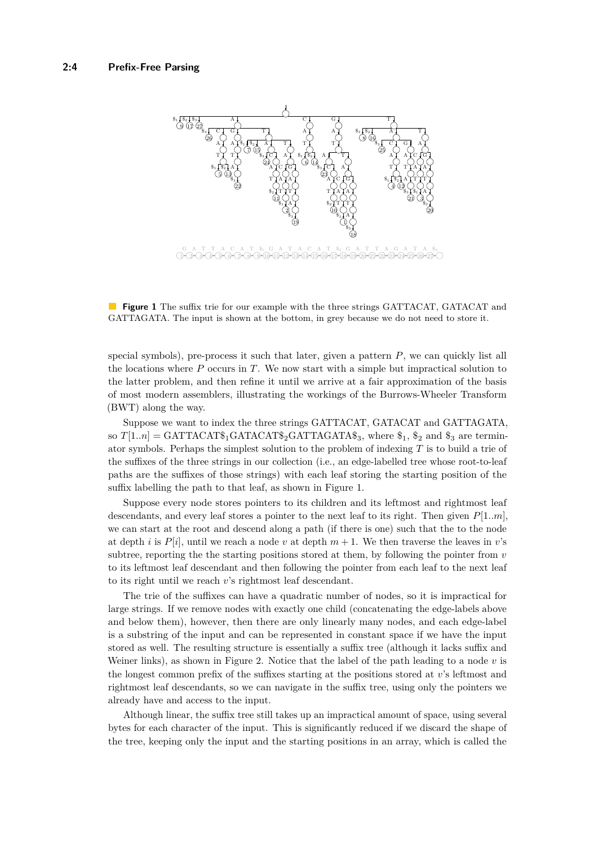<span id="page-3-0"></span>

**Figure 1** The suffix trie for our example with the three strings GATTACAT, GATACAT and GATTAGATA. The input is shown at the bottom, in grey because we do not need to store it.

special symbols), pre-process it such that later, given a pattern *P*, we can quickly list all the locations where *P* occurs in *T*. We now start with a simple but impractical solution to the latter problem, and then refine it until we arrive at a fair approximation of the basis of most modern assemblers, illustrating the workings of the Burrows-Wheeler Transform (BWT) along the way.

Suppose we want to index the three strings GATTACAT, GATACAT and GATTAGATA, so  $T[1..n] = \text{GATTACAT}\$ <sub>1</sub>  $\text{GATACAT}\$ <sub>2</sub>  $\text{GATTAGAT}\$ <sup>3</sup><sub>3</sub>, where  $\text{\$}_1$ ,  $\text{\$}_2$  and  $\text{\$}_3$  are terminator symbols. Perhaps the simplest solution to the problem of indexing *T* is to build a trie of the suffixes of the three strings in our collection (i.e., an edge-labelled tree whose root-to-leaf paths are the suffixes of those strings) with each leaf storing the starting position of the suffix labelling the path to that leaf, as shown in Figure [1.](#page-3-0)

Suppose every node stores pointers to its children and its leftmost and rightmost leaf descendants, and every leaf stores a pointer to the next leaf to its right. Then given *P*[1*..m*], we can start at the root and descend along a path (if there is one) such that the to the node at depth *i* is  $P[i]$ , until we reach a node *v* at depth  $m + 1$ . We then traverse the leaves in *v*'s subtree, reporting the the starting positions stored at them, by following the pointer from *v* to its leftmost leaf descendant and then following the pointer from each leaf to the next leaf to its right until we reach *v*'s rightmost leaf descendant.

The trie of the suffixes can have a quadratic number of nodes, so it is impractical for large strings. If we remove nodes with exactly one child (concatenating the edge-labels above and below them), however, then there are only linearly many nodes, and each edge-label is a substring of the input and can be represented in constant space if we have the input stored as well. The resulting structure is essentially a suffix tree (although it lacks suffix and Weiner links), as shown in Figure [2.](#page-4-0) Notice that the label of the path leading to a node *v* is the longest common prefix of the suffixes starting at the positions stored at *v*'s leftmost and rightmost leaf descendants, so we can navigate in the suffix tree, using only the pointers we already have and access to the input.

Although linear, the suffix tree still takes up an impractical amount of space, using several bytes for each character of the input. This is significantly reduced if we discard the shape of the tree, keeping only the input and the starting positions in an array, which is called the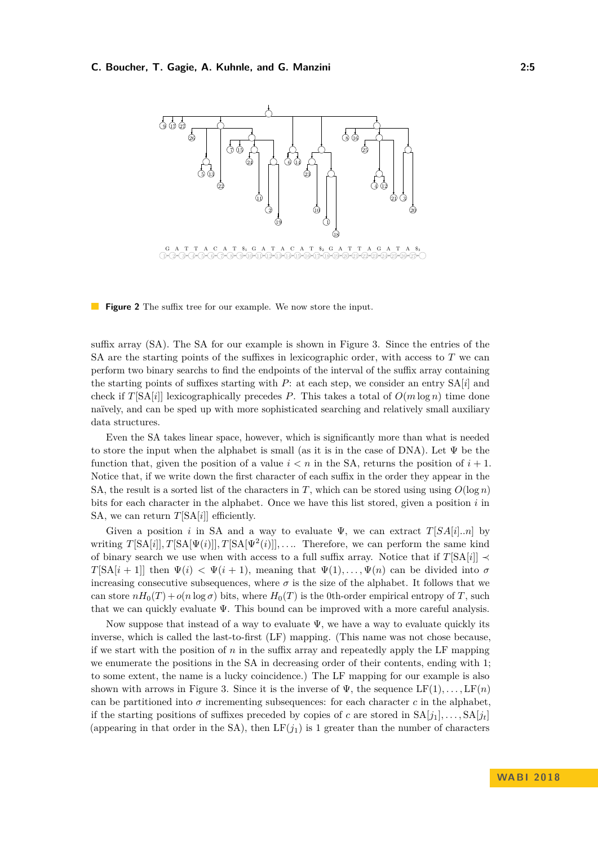<span id="page-4-0"></span>

**Figure 2** The suffix tree for our example. We now store the input.

suffix array (SA). The SA for our example is shown in Figure [3.](#page-5-0) Since the entries of the SA are the starting points of the suffixes in lexicographic order, with access to *T* we can perform two binary searchs to find the endpoints of the interval of the suffix array containing the starting points of suffixes starting with *P*: at each step, we consider an entry SA[*i*] and check if  $T[SA[i]]$  lexicographically precedes *P*. This takes a total of  $O(m \log n)$  time done naïvely, and can be sped up with more sophisticated searching and relatively small auxiliary data structures.

Even the SA takes linear space, however, which is significantly more than what is needed to store the input when the alphabet is small (as it is in the case of DNA). Let  $\Psi$  be the function that, given the position of a value  $i < n$  in the SA, returns the position of  $i + 1$ . Notice that, if we write down the first character of each suffix in the order they appear in the SA, the result is a sorted list of the characters in *T*, which can be stored using using  $O(\log n)$ bits for each character in the alphabet. Once we have this list stored, given a position *i* in SA, we can return *T*[SA[*i*]] efficiently.

Given a position *i* in SA and a way to evaluate  $\Psi$ , we can extract  $T[SA[i].n]$  by writing  $T[\text{SA}[i], T[\text{SA}[\Psi(i)]], T[\text{SA}[\Psi^2(i)]], \ldots$  Therefore, we can perform the same kind of binary search we use when with access to a full suffix array. Notice that if  $T[\text{SA}[i]] \prec$ *T*[SA[*i* + 1]] then  $\Psi(i) < \Psi(i+1)$ , meaning that  $\Psi(1), \ldots, \Psi(n)$  can be divided into  $\sigma$ increasing consecutive subsequences, where  $\sigma$  is the size of the alphabet. It follows that we can store  $nH_0(T) + o(n \log \sigma)$  bits, where  $H_0(T)$  is the 0th-order empirical entropy of *T*, such that we can quickly evaluate Ψ. This bound can be improved with a more careful analysis.

Now suppose that instead of a way to evaluate  $\Psi$ , we have a way to evaluate quickly its inverse, which is called the last-to-first (LF) mapping. (This name was not chose because, if we start with the position of  $n$  in the suffix array and repeatedly apply the LF mapping we enumerate the positions in the SA in decreasing order of their contents, ending with 1; to some extent, the name is a lucky coincidence.) The LF mapping for our example is also shown with arrows in Figure [3.](#page-5-0) Since it is the inverse of  $\Psi$ , the sequence  $LF(1), \ldots, LF(n)$ can be partitioned into  $\sigma$  incrementing subsequences: for each character  $c$  in the alphabet, if the starting positions of suffixes preceded by copies of *c* are stored in  $SA[j_1], \ldots, SA[j_t]$ (appearing in that order in the SA), then  $LF(j_1)$  is 1 greater than the number of characters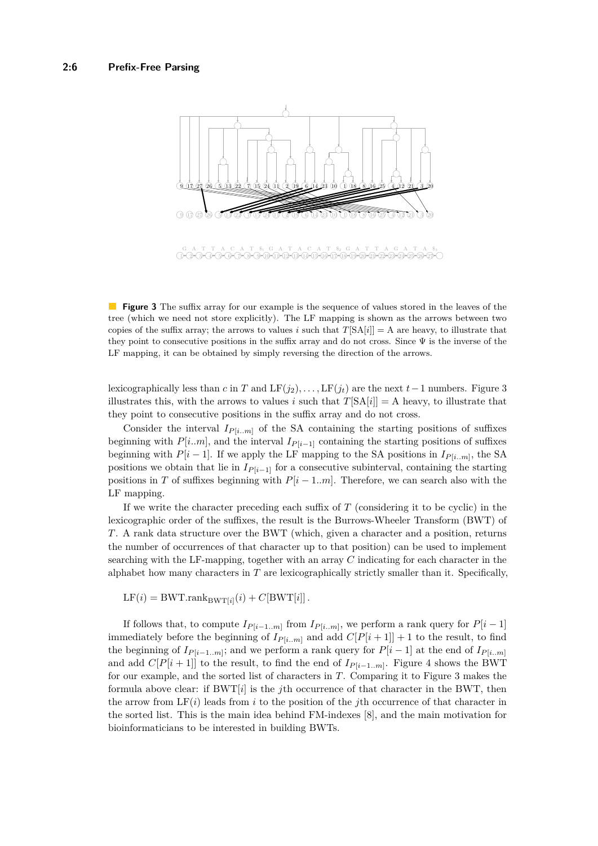<span id="page-5-0"></span>

**Figure 3** The suffix array for our example is the sequence of values stored in the leaves of the tree (which we need not store explicitly). The LF mapping is shown as the arrows between two copies of the suffix array; the arrows to values *i* such that  $T[\text{SA}[i]] = A$  are heavy, to illustrate that they point to consecutive positions in the suffix array and do not cross. Since  $\Psi$  is the inverse of the LF mapping, it can be obtained by simply reversing the direction of the arrows.

lexicographically less than *c* in *T* and  $LF(j_2), \ldots, LF(j_t)$  are the next  $t-1$  numbers. Figure [3](#page-5-0) illustrates this, with the arrows to values *i* such that  $T[\text{SA}[i]] = A$  heavy, to illustrate that they point to consecutive positions in the suffix array and do not cross.

Consider the interval  $I_{P[i..m]}$  of the SA containing the starting positions of suffixes beginning with  $P[i..m]$ , and the interval  $I_{P[i-1]}$  containing the starting positions of suffixes beginning with  $P[i-1]$ . If we apply the LF mapping to the SA positions in  $I_{P[i..m]}$ , the SA positions we obtain that lie in  $I_{P[i-1]}$  for a consecutive subinterval, containing the starting positions in *T* of suffixes beginning with  $P[i - 1..m]$ . Therefore, we can search also with the LF mapping.

If we write the character preceding each suffix of *T* (considering it to be cyclic) in the lexicographic order of the suffixes, the result is the Burrows-Wheeler Transform (BWT) of *T*. A rank data structure over the BWT (which, given a character and a position, returns the number of occurrences of that character up to that position) can be used to implement searching with the LF-mapping, together with an array *C* indicating for each character in the alphabet how many characters in *T* are lexicographically strictly smaller than it. Specifically,

 $LF(i) = BWT.random_{BWT[i]}(i) + C[BWT[i]]$ .

If follows that, to compute  $I_{P[i-1..m]}$  from  $I_{P[i..m]}$ , we perform a rank query for  $P[i-1]$ immediately before the beginning of  $I_{P[i..m]}$  and add  $C[P[i+1]] + 1$  to the result, to find the beginning of  $I_{P[i-1..m]}$ ; and we perform a rank query for  $P[i-1]$  at the end of  $I_{P[i..m]}$ and add  $C[P[i+1]]$  to the result, to find the end of  $I_{P[i-1..m]}$ . Figure [4](#page-6-1) shows the BWT for our example, and the sorted list of characters in *T*. Comparing it to Figure [3](#page-5-0) makes the formula above clear: if BWT[*i*] is the *j*th occurrence of that character in the BWT, then the arrow from  $LF(i)$  leads from *i* to the position of the *j*th occurrence of that character in the sorted list. This is the main idea behind FM-indexes [\[8\]](#page-14-4), and the main motivation for bioinformaticians to be interested in building BWTs.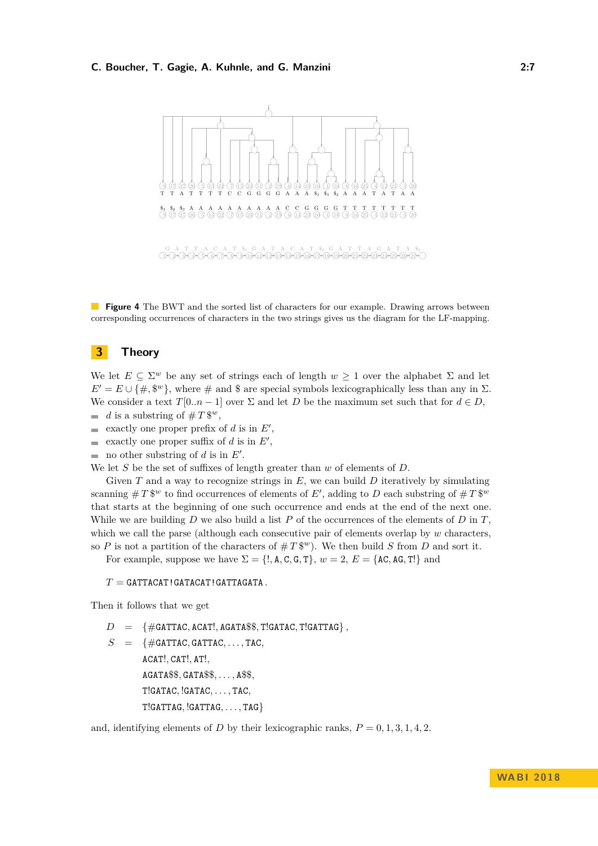<span id="page-6-1"></span>

**Figure 4** The BWT and the sorted list of characters for our example. Drawing arrows between corresponding occurrences of characters in the two strings gives us the diagram for the LF-mapping.

### <span id="page-6-0"></span>**3 Theory**

We let  $E \subseteq \Sigma^w$  be any set of strings each of length  $w \ge 1$  over the alphabet  $\Sigma$  and let  $E' = E \cup \{\#,\$^w\}$ , where  $\#$  and  $\$$  are special symbols lexicographically less than any in  $\Sigma$ . We consider a text  $T[0..n-1]$  over  $\Sigma$  and let  $D$  be the maximum set such that for  $d \in D$ , *d* is a substring of  $\# T$   $\mathbb{S}^w$ ,  $\sim$ 

- exactly one proper prefix of  $d$  is in  $E'$ ,  $\rightarrow$
- exactly one proper suffix of  $d$  is in  $E'$ ,  $\blacksquare$
- no other substring of  $d$  is in  $E'$ .

We let *S* be the set of suffixes of length greater than *w* of elements of *D*.

Given *T* and a way to recognize strings in *E*, we can build *D* iteratively by simulating scanning  $\#T$  \$<sup>*w*</sup> to find occurrences of elements of *E'*, adding to *D* each substring of  $\#T$  \$<sup>*w*</sup> that starts at the beginning of one such occurrence and ends at the end of the next one. While we are building *D* we also build a list *P* of the occurrences of the elements of *D* in *T*, which we call the parse (although each consecutive pair of elements overlap by *w* characters, so *P* is not a partition of the characters of  $\# T\$ <sup>*w*</sup>). We then build *S* from *D* and sort it.

For example, suppose we have  $\Sigma = \{!, \text{A}, \text{C}, \text{G}, \text{T}\}, w = 2, E = \{\text{AC}, \text{AG}, \text{T}\}\$ and

#### $T =$  GATTACAT! GATACAT! GATTAGATA

Then it follows that we get

- $D = \{ \# \text{GATTAC}, \text{ACAT}!, \text{AGATA}\$ \$, T!GATAC, T!GATTAG }
- $S = \{ \text{\#GATTAC}, \text{GATTAC}, \ldots, \text{TAC}, \}$ ACAT!*,* CAT!*,* AT!*,* AGATA\$\$*,* GATA\$\$*, . . . ,* A\$\$*,* T!GATAC*,* !GATAC*, . . . ,* TAC*,* T!GATTAG*,* !GATTAG*, . . . ,* TAG}

and, identifying elements of *D* by their lexicographic ranks,  $P = 0, 1, 3, 1, 4, 2$ .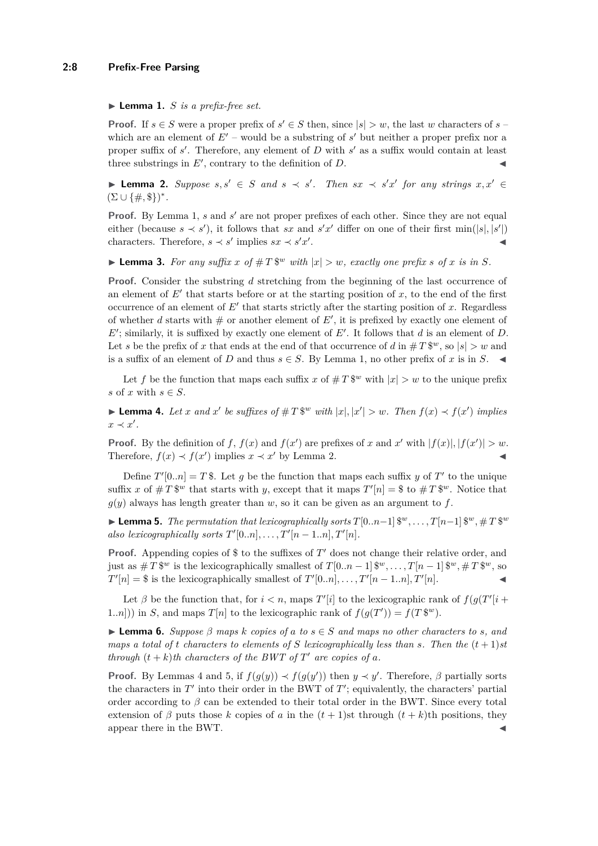#### <span id="page-7-0"></span> $\blacktriangleright$  **Lemma 1.** *S is a prefix-free set.*

**Proof.** If  $s \in S$  were a proper prefix of  $s' \in S$  then, since  $|s| > w$ , the last *w* characters of  $s$ which are an element of  $E'$  – would be a substring of  $s'$  but neither a proper prefix nor a proper suffix of  $s'$ . Therefore, any element of  $D$  with  $s'$  as a suffix would contain at least three substrings in  $E'$ , contrary to the definition of  $D$ .

<span id="page-7-1"></span>**Lemma 2.** Suppose  $s, s' \in S$  and  $s \prec s'$ . Then  $sx \prec s'x'$  for any strings  $x, x' \in S$  $(\Sigma \cup \{\#,\$\})^*$ .

**Proof.** By Lemma [1,](#page-7-0) *s* and *s'* are not proper prefixes of each other. Since they are not equal either (because  $s \prec s'$ ), it follows that *sx* and  $s'x'$  differ on one of their first min( $|s|, |s'|$ ) characters. Therefore,  $s \prec s'$  implies  $sx \prec s'x'$ . John Park Research (1986)

**Example 12.** For any suffix x of  $\# T$   $\mathbb{S}^w$  with  $|x| > w$ , exactly one prefix s of x is in S.

**Proof.** Consider the substring *d* stretching from the beginning of the last occurrence of an element of  $E'$  that starts before or at the starting position of  $x$ , to the end of the first occurrence of an element of  $E'$  that starts strictly after the starting position of  $x$ . Regardless of whether  $d$  starts with  $#$  or another element of  $E'$ , it is prefixed by exactly one element of  $E'$ ; similarly, it is suffixed by exactly one element of  $E'$ . It follows that  $d$  is an element of  $D$ . Let *s* be the prefix of *x* that ends at the end of that occurrence of *d* in  $#T$   $\mathbb{S}^w$ , so  $|s| > w$  and is a suffix of an element of *D* and thus  $s \in S$ . By Lemma [1,](#page-7-0) no other prefix of *x* is in *S*.

Let f be the function that maps each suffix x of  $#T$  <sup>w</sup> with  $|x| > w$  to the unique prefix *s* of *x* with  $s \in S$ .

<span id="page-7-2"></span>**Lemma 4.** Let x and x' be suffixes of #T\\$\" with |x|, |x'| > w. Then  $f(x) \prec f(x')$  implies  $x \prec x'$ .

**Proof.** By the definition of *f*,  $f(x)$  and  $f(x')$  are prefixes of *x* and *x*' with  $|f(x)|, |f(x')| > w$ . Therefore,  $f(x) \prec f(x')$  implies  $x \prec x'$  by Lemma [2.](#page-7-1)

Define  $T'[0..n] = T$ \$. Let *g* be the function that maps each suffix *y* of  $T'$  to the unique suffix x of  $\# T$  \$<sup>w</sup> that starts with y, except that it maps  $T'[n] = $$  to  $\# T$  \$<sup>w</sup>. Notice that  $g(y)$  always has length greater than  $w$ , so it can be given as an argument to  $f$ .

<span id="page-7-3"></span>▶ **Lemma 5.** *The permutation that lexicographically sorts*  $T[0..n-1]$   $\mathbb{S}^w, \ldots, T[n-1]$   $\mathbb{S}^w, \# T \mathbb{S}^w$ *also lexicographically sorts*  $T'[0..n], \ldots, T'[n-1..n], T'[n].$ 

**Proof.** Appending copies of \$ to the suffixes of  $T'$  does not change their relative order, and just as  $\#T$   $\mathbb{S}^w$  is the lexicographically smallest of  $T[0..n-1]$   $\mathbb{S}^w, \ldots, T[n-1]$   $\mathbb{S}^w, \#T$   $\mathbb{S}^w$ , so  $T'[n] = $$  is the lexicographically smallest of  $T'[0..n], \ldots, T'[n-1..n], T'[n].$ 

Let  $\beta$  be the function that, for  $i < n$ , maps  $T'[i]$  to the lexicographic rank of  $f(g(T'[i +$ 1.*n*])) in *S*, and maps  $T[n]$  to the lexicographic rank of  $f(g(T')) = f(T \mathcal{F}^w)$ .

<span id="page-7-4"></span>**Example 6.** Suppose  $\beta$  maps  $k$  copies of  $a$  to  $s \in S$  and maps no other characters to  $s$ , and *maps a total of t characters to elements of S lexicographically less than s. Then the*  $(t+1)$ *st through*  $(t + k)$ *th characters of the BWT of*  $T'$  *are copies of a.* 

**Proof.** By Lemmas [4](#page-7-2) and [5,](#page-7-3) if  $f(g(y)) \prec f(g(y'))$  then  $y \prec y'$ . Therefore,  $\beta$  partially sorts the characters in  $T'$  into their order in the BWT of  $T'$ ; equivalently, the characters' partial order according to *β* can be extended to their total order in the BWT. Since every total extension of  $\beta$  puts those *k* copies of *a* in the  $(t + 1)$ st through  $(t + k)$ th positions, they appear there in the BWT.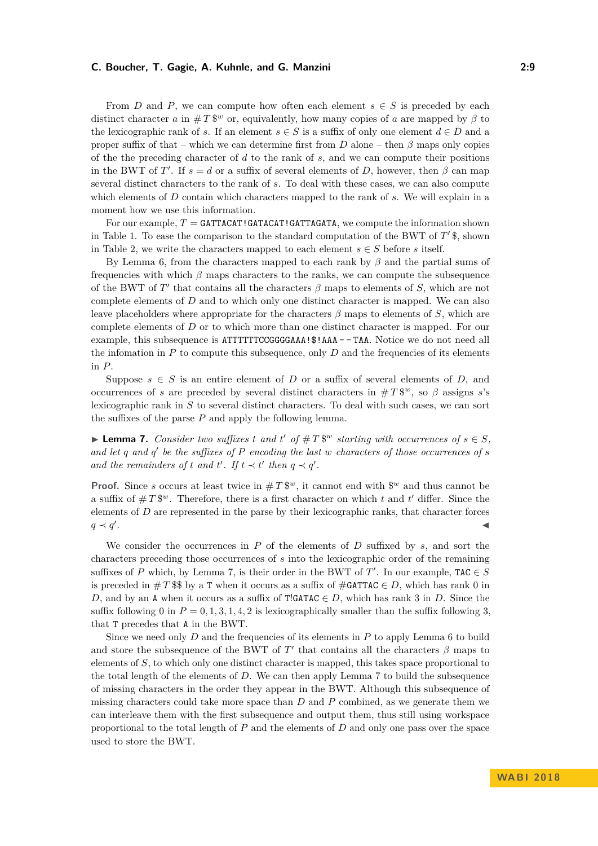From *D* and *P*, we can compute how often each element  $s \in S$  is preceded by each distinct character *a* in  $\#T$   $\mathbb{S}^w$  or, equivalently, how many copies of *a* are mapped by  $\beta$  to the lexicographic rank of *s*. If an element  $s \in S$  is a suffix of only one element  $d \in D$  and a proper suffix of that – which we can determine first from  $D$  alone – then  $\beta$  maps only copies of the the preceding character of *d* to the rank of *s*, and we can compute their positions in the BWT of *T'*. If  $s = d$  or a suffix of several elements of *D*, however, then  $\beta$  can map several distinct characters to the rank of *s*. To deal with these cases, we can also compute which elements of *D* contain which characters mapped to the rank of *s*. We will explain in a moment how we use this information.

For our example,  $T =$  **GATTACAT!GATACAT!GATTAGATA**, we compute the information shown in Table [1.](#page-9-0) To ease the comparison to the standard computation of the BWT of  $T$ ' \$, shown in Table [2,](#page-10-1) we write the characters mapped to each element  $s \in S$  before *s* itself.

By Lemma [6,](#page-7-4) from the characters mapped to each rank by *β* and the partial sums of frequencies with which  $\beta$  maps characters to the ranks, we can compute the subsequence of the BWT of  $T'$  that contains all the characters  $\beta$  maps to elements of  $S$ , which are not complete elements of *D* and to which only one distinct character is mapped. We can also leave placeholders where appropriate for the characters  $\beta$  maps to elements of  $S$ , which are complete elements of *D* or to which more than one distinct character is mapped. For our example, this subsequence is ATTTTTTCCGGGAAA!\$!AAA - - TAA. Notice we do not need all the infomation in  $P$  to compute this subsequence, only  $D$  and the frequencies of its elements in *P*.

Suppose  $s \in S$  is an entire element of *D* or a suffix of several elements of *D*, and occurrences of *s* are preceded by several distinct characters in  $\#T^{\{w\}}$ , so  $\beta$  assigns *s*'s lexicographic rank in *S* to several distinct characters. To deal with such cases, we can sort the suffixes of the parse *P* and apply the following lemma.

<span id="page-8-0"></span>▶ **Lemma 7.** *Consider two suffixes t and t*<sup> $'$ </sup> *of*  $#T$   $\mathbb{S}^w$  *starting with occurrences of*  $s \in S$ *,* and let  $q$  and  $q'$  be the suffixes of  $P$  encoding the last  $w$  characters of those occurrences of  $s$ *and the remainders of t and t'. If*  $t \prec t'$  *then*  $q \prec q'$ *.* 

**Proof.** Since *s* occurs at least twice in  $#T$  \$<sup>*w*</sup>, it cannot end with \$<sup>*w*</sup> and thus cannot be a suffix of  $\#T\$ <sup>w</sup>. Therefore, there is a first character on which *t* and *t'* differ. Since the elements of *D* are represented in the parse by their lexicographic ranks, that character forces  $q \prec q'$ . January 1986, and the control of the control of the control of the control of the control of the control of

We consider the occurrences in *P* of the elements of *D* suffixed by *s*, and sort the characters preceding those occurrences of *s* into the lexicographic order of the remaining suffixes of *P* which, by Lemma [7,](#page-8-0) is their order in the BWT of  $T'$ . In our example,  $TAC \in S$ is preceded in  $\#T$  \$\$ by a T when it occurs as a suffix of  $\#GATTAC \in D$ , which has rank 0 in *D*, and by an A when it occurs as a suffix of T!GATAC  $\in$  *D*, which has rank 3 in *D*. Since the suffix following 0 in  $P = 0, 1, 3, 1, 4, 2$  is lexicographically smaller than the suffix following 3, that T precedes that A in the BWT.

Since we need only *D* and the frequencies of its elements in *P* to apply Lemma [6](#page-7-4) to build and store the subsequence of the BWT of  $T'$  that contains all the characters  $\beta$  maps to elements of *S*, to which only one distinct character is mapped, this takes space proportional to the total length of the elements of *D*. We can then apply Lemma [7](#page-8-0) to build the subsequence of missing characters in the order they appear in the BWT. Although this subsequence of missing characters could take more space than *D* and *P* combined, as we generate them we can interleave them with the first subsequence and output them, thus still using workspace proportional to the total length of *P* and the elements of *D* and only one pass over the space used to store the BWT.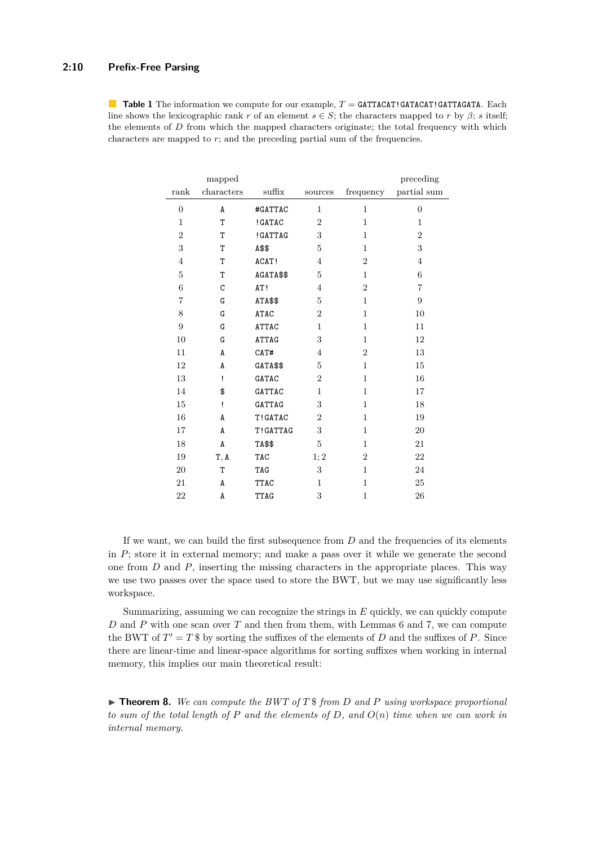#### **2:10 Prefix-Free Parsing**

<span id="page-9-0"></span>**Table 1** The information we compute for our example,  $T =$  **GATTACAT!GATACAT!GATTAGATA.** Each line shows the lexicographic rank *r* of an element  $s \in S$ ; the characters mapped to *r* by  $\beta$ ; *s* itself; the elements of *D* from which the mapped characters originate; the total frequency with which characters are mapped to  $r$ ; and the preceding partial sum of the frequencies.

|                  | mapped     |                 |                |                | preceding        |
|------------------|------------|-----------------|----------------|----------------|------------------|
| rank             | characters | $\text{suffix}$ | sources        | frequency      | partial sum      |
| $\overline{0}$   | A          | #GATTAC         | $\mathbf{1}$   | $\mathbf{1}$   | $\overline{0}$   |
| 1                | T          | ! GATAC         | $\overline{2}$ | 1              | 1                |
| $\boldsymbol{2}$ | T          | ! GATTAG        | 3              | $\mathbf{1}$   | $\overline{2}$   |
| 3                | T          | A\$\$           | 5              | $\mathbf{1}$   | 3                |
| $\overline{4}$   | T          | ACAT!           | $\overline{4}$ | $\overline{2}$ | $\overline{4}$   |
| 5                | T          | AGATA\$\$       | 5              | $\mathbf{1}$   | 6                |
| $\boldsymbol{6}$ | C          | AT!             | $\overline{4}$ | $\overline{2}$ | $\overline{7}$   |
| $\overline{7}$   | G          | ATA\$\$         | 5              | $\mathbf{1}$   | $\boldsymbol{9}$ |
| $8\,$            | G          | <b>ATAC</b>     | $\overline{2}$ | $\mathbf{1}$   | 10               |
| $\overline{9}$   | G          | <b>ATTAC</b>    | $\mathbf{1}$   | $\mathbf{1}$   | 11               |
| 10               | G          | <b>ATTAG</b>    | 3              | $\mathbf{1}$   | 12               |
| 11               | A          | CAT#            | $\overline{4}$ | $\overline{2}$ | 13               |
| 12               | A          | GATA\$\$        | 5              | $\mathbf{1}$   | 15               |
| 13               | ì          | GATAC           | $\overline{2}$ | $\mathbf{1}$   | 16               |
| 14               | \$         | <b>GATTAC</b>   | $\mathbf{1}$   | $\mathbf{1}$   | 17               |
| 15               | ï          | GATTAG          | 3              | $\mathbf{1}$   | 18               |
| 16               | A          | T!GATAC         | $\overline{2}$ | $\mathbf{1}$   | 19               |
| 17               | A          | T!GATTAG        | 3              | $\mathbf{1}$   | 20               |
| 18               | A          | TA\$\$          | 5              | $\mathbf{1}$   | 21               |
| 19               | T, A       | TAC             | 1; 2           | $\overline{2}$ | 22               |
| 20               | T          | TAG             | 3              | $\mathbf{1}$   | 24               |
| 21               | A          | <b>TTAC</b>     | $\mathbf{1}$   | $\mathbf{1}$   | 25               |
| 22               | A          | <b>TTAG</b>     | 3              | $\mathbf{1}$   | 26               |

If we want, we can build the first subsequence from *D* and the frequencies of its elements in *P*; store it in external memory; and make a pass over it while we generate the second one from *D* and *P*, inserting the missing characters in the appropriate places. This way we use two passes over the space used to store the BWT, but we may use significantly less workspace.

Summarizing, assuming we can recognize the strings in *E* quickly, we can quickly compute *D* and *P* with one scan over *T* and then from them, with Lemmas [6](#page-7-4) and [7,](#page-8-0) we can compute the BWT of  $T' = T$  \$ by sorting the suffixes of the elements of *D* and the suffixes of *P*. Since there are linear-time and linear-space algorithms for sorting suffixes when working in internal memory, this implies our main theoretical result:

 $\blacktriangleright$  **Theorem 8.** We can compute the BWT of T \ from D and P using workspace proportional *to sum of the total length of P and the elements of D, and O*(*n*) *time when we can work in internal memory.*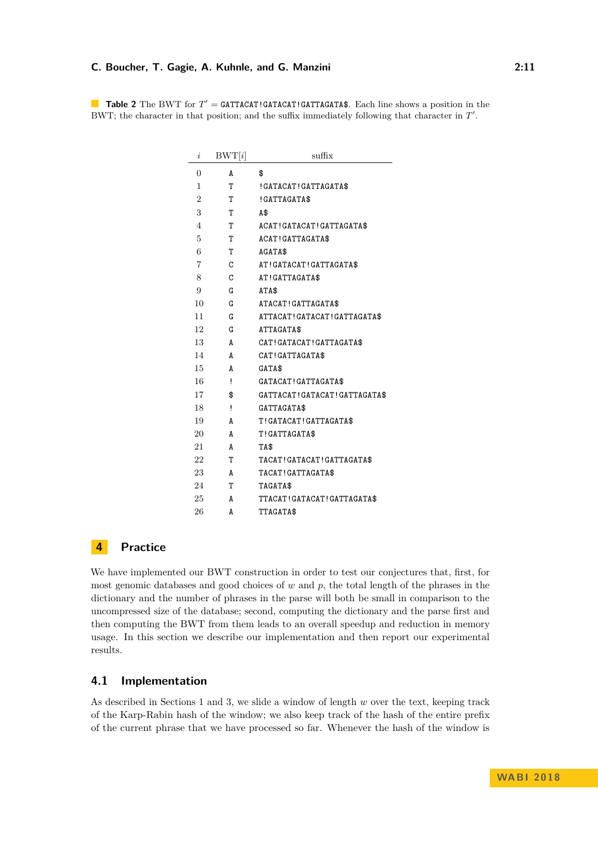<span id="page-10-1"></span>**Table 2** The BWT for  $T' =$  GATTACAT!GATACAT!GATTAGATA\$. Each line shows a position in the BWT; the character in that position; and the suffix immediately following that character in  $T'$ .

| i              | BWT[i] | suffix                         |
|----------------|--------|--------------------------------|
| 0              | A      | \$                             |
| 1              | т      | !GATACAT!GATTAGATA\$           |
| $\overline{2}$ | T      | !GATTAGATA\$                   |
| 3              | T      | A\$                            |
| 4              | т      | ACAT!GATACAT!GATTAGATA\$       |
| 5              | T      | ACAT! GATTAGATA\$              |
| 6              | T      | AGATA\$                        |
| 7              | C      | AT!GATACAT!GATTAGATA\$         |
| 8              | C      | AT!GATTAGATA\$                 |
| 9              | G      | ATA\$                          |
| 10             | G      | ATACAT! GATTAGATA\$            |
| 11             | G      | ATTACAT! GATACAT! GATTAGATA\$  |
| 12             | G      | ATTAGATA\$                     |
| 13             | A      | CAT! GATACAT! GATTAGATA\$      |
| 14             | A      | CAT! GATTAGATA\$               |
| 15             | A      | GATA\$                         |
| 16             | ï      | GATACAT! GATTAGATA\$           |
| 17             | \$     | GATTACAT! GATACAT! GATTAGATA\$ |
| 18             | ï      | GATTAGATA\$                    |
| 19             | A      | T!GATACAT!GATTAGATA\$          |
| 20             | A      | T!GATTAGATA\$                  |
| 21             | A      | TA\$                           |
| 22             | т      | TACAT!GATACAT!GATTAGATA\$      |
| 23             | A      | TACAT!GATTAGATA\$              |
| 24             | т      | TAGATA\$                       |
| 25             | A      | TTACAT! GATACAT! GATTAGATA\$   |
| 26             | A      | TTAGATA\$                      |

### <span id="page-10-0"></span>**Practice**

We have implemented our BWT construction in order to test our conjectures that, first, for most genomic databases and good choices of *w* and *p*, the total length of the phrases in the dictionary and the number of phrases in the parse will both be small in comparison to the uncompressed size of the database; second, computing the dictionary and the parse first and then computing the BWT from them leads to an overall speedup and reduction in memory usage. In this section we describe our implementation and then report our experimental results.

### **4.1 Implementation**

As described in Sections [1](#page-1-0) and [3,](#page-6-0) we slide a window of length *w* over the text, keeping track of the Karp-Rabin hash of the window; we also keep track of the hash of the entire prefix of the current phrase that we have processed so far. Whenever the hash of the window is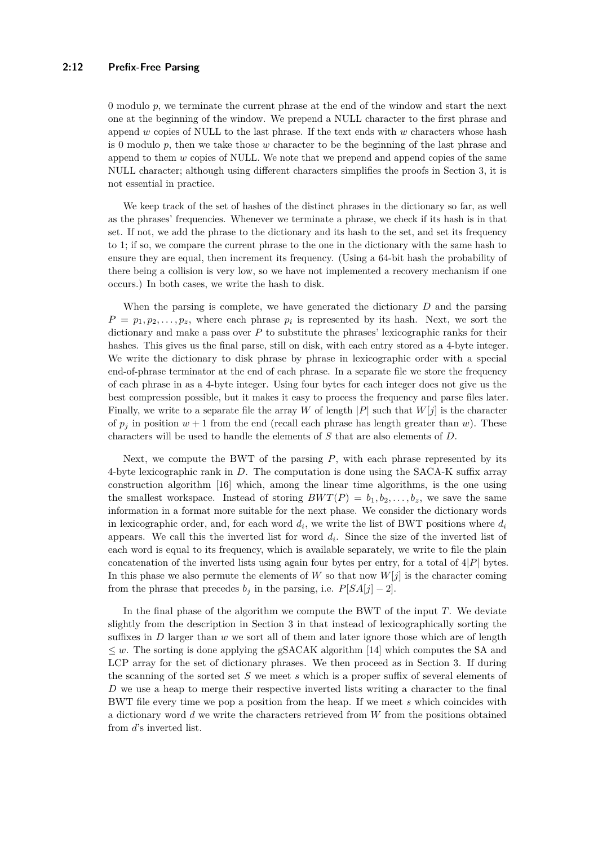#### **2:12 Prefix-Free Parsing**

0 modulo *p*, we terminate the current phrase at the end of the window and start the next one at the beginning of the window. We prepend a NULL character to the first phrase and append *w* copies of NULL to the last phrase. If the text ends with *w* characters whose hash is 0 modulo *p*, then we take those *w* character to be the beginning of the last phrase and append to them *w* copies of NULL. We note that we prepend and append copies of the same NULL character; although using different characters simplifies the proofs in Section [3,](#page-6-0) it is not essential in practice.

We keep track of the set of hashes of the distinct phrases in the dictionary so far, as well as the phrases' frequencies. Whenever we terminate a phrase, we check if its hash is in that set. If not, we add the phrase to the dictionary and its hash to the set, and set its frequency to 1; if so, we compare the current phrase to the one in the dictionary with the same hash to ensure they are equal, then increment its frequency. (Using a 64-bit hash the probability of there being a collision is very low, so we have not implemented a recovery mechanism if one occurs.) In both cases, we write the hash to disk.

When the parsing is complete, we have generated the dictionary *D* and the parsing  $P = p_1, p_2, \ldots, p_z$ , where each phrase  $p_i$  is represented by its hash. Next, we sort the dictionary and make a pass over *P* to substitute the phrases' lexicographic ranks for their hashes. This gives us the final parse, still on disk, with each entry stored as a 4-byte integer. We write the dictionary to disk phrase by phrase in lexicographic order with a special end-of-phrase terminator at the end of each phrase. In a separate file we store the frequency of each phrase in as a 4-byte integer. Using four bytes for each integer does not give us the best compression possible, but it makes it easy to process the frequency and parse files later. Finally, we write to a separate file the array *W* of length  $|P|$  such that  $W[j]$  is the character of  $p_j$  in position  $w + 1$  from the end (recall each phrase has length greater than  $w$ ). These characters will be used to handle the elements of *S* that are also elements of *D*.

Next, we compute the BWT of the parsing *P*, with each phrase represented by its 4-byte lexicographic rank in *D*. The computation is done using the SACA-K suffix array construction algorithm [\[16\]](#page-15-6) which, among the linear time algorithms, is the one using the smallest workspace. Instead of storing  $BWT(P) = b_1, b_2, \ldots, b_z$ , we save the same information in a format more suitable for the next phase. We consider the dictionary words in lexicographic order, and, for each word  $d_i$ , we write the list of BWT positions where  $d_i$ appears. We call this the inverted list for word  $d_i$ . Since the size of the inverted list of each word is equal to its frequency, which is available separately, we write to file the plain concatenation of the inverted lists using again four bytes per entry, for a total of 4|*P*| bytes. In this phase we also permute the elements of  $W$  so that now  $W[j]$  is the character coming from the phrase that precedes  $b_j$  in the parsing, i.e.  $P[SA[j]-2]$ .

In the final phase of the algorithm we compute the BWT of the input *T*. We deviate slightly from the description in Section [3](#page-6-0) in that instead of lexicographically sorting the suffixes in *D* larger than *w* we sort all of them and later ignore those which are of length  $\leq w$ . The sorting is done applying the gSACAK algorithm [\[14\]](#page-15-7) which computes the SA and LCP array for the set of dictionary phrases. We then proceed as in Section [3.](#page-6-0) If during the scanning of the sorted set *S* we meet *s* which is a proper suffix of several elements of *D* we use a heap to merge their respective inverted lists writing a character to the final BWT file every time we pop a position from the heap. If we meet *s* which coincides with a dictionary word *d* we write the characters retrieved from *W* from the positions obtained from *d*'s inverted list.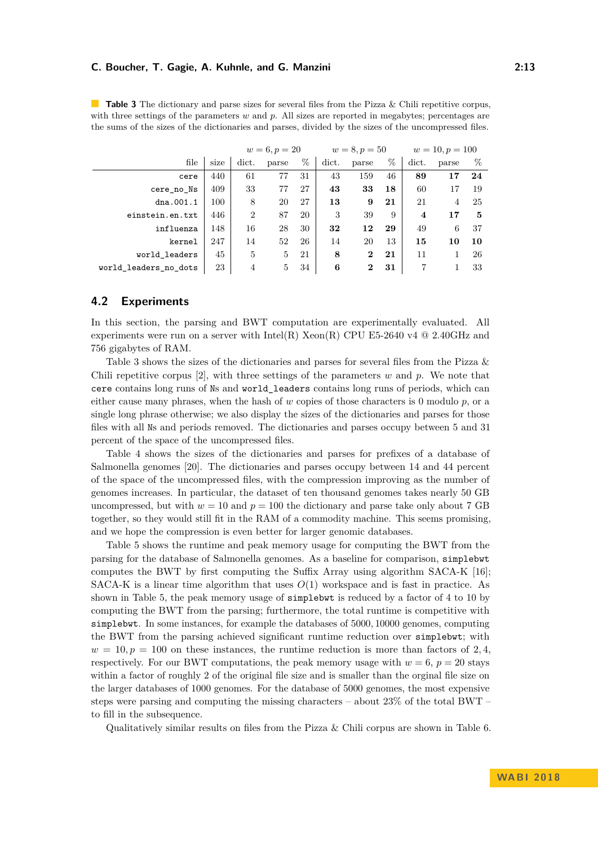| the sums of the sizes of the dictionaries and parses, divided by the sizes of the uncompressed files. |  |  |                           |                                                   |  |  |  |  |                                                              |  |
|-------------------------------------------------------------------------------------------------------|--|--|---------------------------|---------------------------------------------------|--|--|--|--|--------------------------------------------------------------|--|
|                                                                                                       |  |  |                           | $w = 6, p = 20$ $w = 8, p = 50$ $w = 10, p = 100$ |  |  |  |  |                                                              |  |
|                                                                                                       |  |  |                           |                                                   |  |  |  |  | file size dict. parse $\%$ dict. parse $\%$ dict. parse $\%$ |  |
| cere                                                                                                  |  |  | 440 61 77 31 43 159 46 89 |                                                   |  |  |  |  | 17 24                                                        |  |

cere\_no\_Ns |  $409$  |  $33$  77  $27$  |  $43$   $33$  18 | 60 17 19 dna.001.1 100 8 20 27 **13 9 21** 21 4 25 einstein.en.txt 446 2 87 20 3 39 9 **4 17 5** influenza 148 16 28 30 **32 12 29** 49 6 37 kernel 247 14 52 26 14 20 13 **15 10 10**

world\_leaders 45 5 5 21 8 2 21 11 1 26

<span id="page-12-0"></span>**Table 3** The dictionary and parse sizes for several files from the Pizza & Chili repetitive corpus, with three settings of the parameters *w* and *p*. All sizes are reported in megabytes; percentages are

## **4.2 Experiments**

In this section, the parsing and BWT computation are experimentally evaluated. All experiments were run on a server with Intel(R) Xeon(R) CPU E5-2640 v4  $@$  2.40GHz and 756 gigabytes of RAM.

world\_leaders\_no\_dots 23 4 5 34 **6 2 31** 7 1 33

Table [3](#page-12-0) shows the sizes of the dictionaries and parses for several files from the Pizza & Chili repetitive corpus [\[2\]](#page-14-5), with three settings of the parameters *w* and *p*. We note that cere contains long runs of Ns and world\_leaders contains long runs of periods, which can either cause many phrases, when the hash of  $w$  copies of those characters is 0 modulo  $p$ , or a single long phrase otherwise; we also display the sizes of the dictionaries and parses for those files with all Ns and periods removed. The dictionaries and parses occupy between 5 and 31 percent of the space of the uncompressed files.

Table [4](#page-13-1) shows the sizes of the dictionaries and parses for prefixes of a database of Salmonella genomes [\[20\]](#page-15-8). The dictionaries and parses occupy between 14 and 44 percent of the space of the uncompressed files, with the compression improving as the number of genomes increases. In particular, the dataset of ten thousand genomes takes nearly 50 GB uncompressed, but with  $w = 10$  and  $p = 100$  the dictionary and parse take only about 7 GB together, so they would still fit in the RAM of a commodity machine. This seems promising, and we hope the compression is even better for larger genomic databases.

Table [5](#page-13-2) shows the runtime and peak memory usage for computing the BWT from the parsing for the database of Salmonella genomes. As a baseline for comparison, simplebwt computes the BWT by first computing the Suffix Array using algorithm SACA-K [\[16\]](#page-15-6); SACA-K is a linear time algorithm that uses *O*(1) workspace and is fast in practice. As shown in Table [5,](#page-13-2) the peak memory usage of simplebwt is reduced by a factor of 4 to 10 by computing the BWT from the parsing; furthermore, the total runtime is competitive with simplebwt. In some instances, for example the databases of 5000*,* 10000 genomes, computing the BWT from the parsing achieved significant runtime reduction over simplebwt; with  $w = 10, p = 100$  on these instances, the runtime reduction is more than factors of 2,4, respectively. For our BWT computations, the peak memory usage with  $w = 6$ ,  $p = 20$  stays within a factor of roughly 2 of the original file size and is smaller than the orginal file size on the larger databases of 1000 genomes. For the database of 5000 genomes, the most expensive steps were parsing and computing the missing characters – about 23% of the total BWT – to fill in the subsequence.

Qualitatively similar results on files from the Pizza  $\&$  Chili corpus are shown in Table [6.](#page-13-3)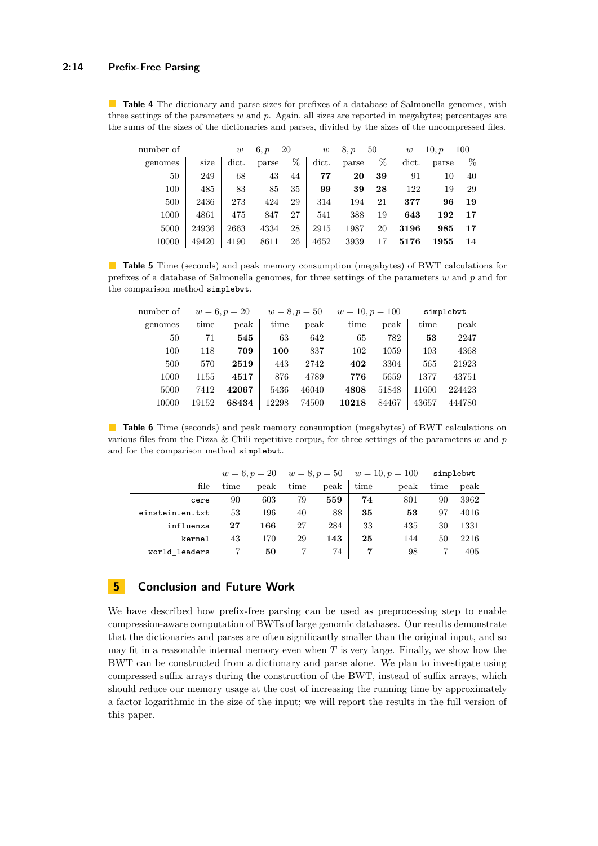#### **2:14 Prefix-Free Parsing**

<span id="page-13-1"></span>**Table 4** The dictionary and parse sizes for prefixes of a database of Salmonella genomes, with three settings of the parameters *w* and *p*. Again, all sizes are reported in megabytes; percentages are the sums of the sizes of the dictionaries and parses, divided by the sizes of the uncompressed files.

| $w = 10, p = 100$ |       |       | $w = 8, p = 50$ |       |       |    | $w = 6, p = 20$ |       |       | number of |
|-------------------|-------|-------|-----------------|-------|-------|----|-----------------|-------|-------|-----------|
| $\%$              | parse | dict. | %               | parse | dict. | %  | parse           | dict. | size  | genomes   |
| 40                | 10    | 91    | 39              | 20    | 77    | 44 | 43              | 68    | 249   | 50        |
| 29                | 19    | 122   | 28              | 39    | 99    | 35 | 85              | 83    | 485   | 100       |
| 19                | 96    | 377   | 21              | 194   | 314   | 29 | 424             | 273   | 2436  | 500       |
| 17                | 192   | 643   | 19              | 388   | 541   | 27 | 847             | 475   | 4861  | 1000      |
| 17                | 985   | 3196  | 20              | 1987  | 2915  | 28 | 4334            | 2663  | 24936 | 5000      |
| 14                | 1955  | 5176  | 17              | 3939  | 4652  | 26 | 8611            | 4190  | 49420 | 10000     |

<span id="page-13-2"></span>**Table 5** Time (seconds) and peak memory consumption (megabytes) of BWT calculations for prefixes of a database of Salmonella genomes, for three settings of the parameters *w* and *p* and for the comparison method simplebwt.

| number of | $w = 6, p = 20$ |       | $w = 8, p = 50$ |       | $w = 10, p = 100$ |       | simplebwt |        |  |
|-----------|-----------------|-------|-----------------|-------|-------------------|-------|-----------|--------|--|
| genomes   | time            | peak  | time            | peak  | time              | peak  | time      | peak   |  |
| 50        | 71              | 545   | 63              | 642   | 65                | 782   | 53        | 2247   |  |
| 100       | 118             | 709   | 100             | 837   | 102               | 1059  | 103       | 4368   |  |
| 500       | 570             | 2519  | 443             | 2742  | 402               | 3304  | 565       | 21923  |  |
| 1000      | 1155            | 4517  | 876             | 4789  | 776               | 5659  | 1377      | 43751  |  |
| 5000      | 7412            | 42067 | 5436            | 46040 | 4808              | 51848 | 11600     | 224423 |  |
| 10000     | 19152           | 68434 | 12298           | 74500 | 10218             | 84467 | 43657     | 444780 |  |
|           |                 |       |                 |       |                   |       |           |        |  |

<span id="page-13-3"></span>**Table 6** Time (seconds) and peak memory consumption (megabytes) of BWT calculations on various files from the Pizza & Chili repetitive corpus, for three settings of the parameters *w* and *p* and for the comparison method simplebwt.

|                 |      |      | $w = 6, p = 20$ $w = 8, p = 50$ $w = 10, p = 100$ |      |      |      | simplebwt |      |
|-----------------|------|------|---------------------------------------------------|------|------|------|-----------|------|
| file            | time | peak | time                                              | peak | time | peak | time      | peak |
| cere            | 90   | 603  | 79                                                | 559  | 74   | 801  | 90        | 3962 |
| einstein.en.txt | 53   | 196  | 40                                                | 88   | 35   | 53   | 97        | 4016 |
| influenza       | 27   | 166  | 27                                                | 284  | 33   | 435  | 30        | 1331 |
| kernel          | 43   | 170  | 29                                                | 143  | 25   | 144  | 50        | 2216 |
| world leaders   |      | 50   |                                                   | 74   |      | 98   |           | 405  |

### <span id="page-13-0"></span>**5 Conclusion and Future Work**

We have described how prefix-free parsing can be used as preprocessing step to enable compression-aware computation of BWTs of large genomic databases. Our results demonstrate that the dictionaries and parses are often significantly smaller than the original input, and so may fit in a reasonable internal memory even when *T* is very large. Finally, we show how the BWT can be constructed from a dictionary and parse alone. We plan to investigate using compressed suffix arrays during the construction of the BWT, instead of suffix arrays, which should reduce our memory usage at the cost of increasing the running time by approximately a factor logarithmic in the size of the input; we will report the results in the full version of this paper.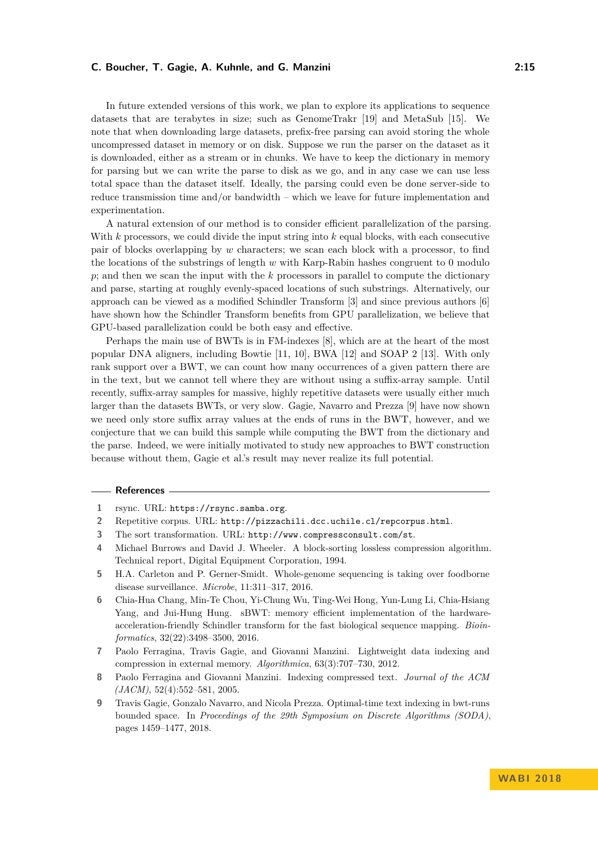In future extended versions of this work, we plan to explore its applications to sequence datasets that are terabytes in size; such as GenomeTrakr [\[19\]](#page-15-3) and MetaSub [\[15\]](#page-15-9). We note that when downloading large datasets, prefix-free parsing can avoid storing the whole uncompressed dataset in memory or on disk. Suppose we run the parser on the dataset as it is downloaded, either as a stream or in chunks. We have to keep the dictionary in memory for parsing but we can write the parse to disk as we go, and in any case we can use less total space than the dataset itself. Ideally, the parsing could even be done server-side to reduce transmission time and/or bandwidth – which we leave for future implementation and experimentation.

A natural extension of our method is to consider efficient parallelization of the parsing. With *k* processors, we could divide the input string into *k* equal blocks, with each consecutive pair of blocks overlapping by *w* characters; we scan each block with a processor, to find the locations of the substrings of length *w* with Karp-Rabin hashes congruent to 0 modulo *p*; and then we scan the input with the *k* processors in parallel to compute the dictionary and parse, starting at roughly evenly-spaced locations of such substrings. Alternatively, our approach can be viewed as a modified Schindler Transform [\[3\]](#page-14-6) and since previous authors [\[6\]](#page-14-7) have shown how the Schindler Transform benefits from GPU parallelization, we believe that GPU-based parallelization could be both easy and effective.

Perhaps the main use of BWTs is in FM-indexes [\[8\]](#page-14-4), which are at the heart of the most popular DNA aligners, including Bowtie [\[11,](#page-15-10) [10\]](#page-15-11), BWA [\[12\]](#page-15-12) and SOAP 2 [\[13\]](#page-15-13). With only rank support over a BWT, we can count how many occurrences of a given pattern there are in the text, but we cannot tell where they are without using a suffix-array sample. Until recently, suffix-array samples for massive, highly repetitive datasets were usually either much larger than the datasets BWTs, or very slow. Gagie, Navarro and Prezza [\[9\]](#page-14-8) have now shown we need only store suffix array values at the ends of runs in the BWT, however, and we conjecture that we can build this sample while computing the BWT from the dictionary and the parse. Indeed, we were initially motivated to study new approaches to BWT construction because without them, Gagie et al.'s result may never realize its full potential.

#### **References**

- <span id="page-14-3"></span>**1** rsync. URL: <https://rsync.samba.org>.
- <span id="page-14-5"></span>**2** Repetitive corpus. URL: <http://pizzachili.dcc.uchile.cl/repcorpus.html>.
- <span id="page-14-6"></span>**3** The sort transformation. URL: <http://www.compressconsult.com/st>.
- <span id="page-14-1"></span>**4** Michael Burrows and David J. Wheeler. A block-sorting lossless compression algorithm. Technical report, Digital Equipment Corporation, 1994.
- <span id="page-14-0"></span>**5** H.A. Carleton and P. Gerner-Smidt. Whole-genome sequencing is taking over foodborne disease surveillance. *Microbe*, 11:311–317, 2016.
- <span id="page-14-7"></span>**6** Chia-Hua Chang, Min-Te Chou, Yi-Chung Wu, Ting-Wei Hong, Yun-Lung Li, Chia-Hsiang Yang, and Jui-Hung Hung. sBWT: memory efficient implementation of the hardwareacceleration-friendly Schindler transform for the fast biological sequence mapping. *Bioinformatics*, 32(22):3498–3500, 2016.
- <span id="page-14-2"></span>**7** Paolo Ferragina, Travis Gagie, and Giovanni Manzini. Lightweight data indexing and compression in external memory. *Algorithmica*, 63(3):707–730, 2012.
- <span id="page-14-4"></span>**8** Paolo Ferragina and Giovanni Manzini. Indexing compressed text. *Journal of the ACM (JACM)*, 52(4):552–581, 2005.
- <span id="page-14-8"></span>**9** Travis Gagie, Gonzalo Navarro, and Nicola Prezza. Optimal-time text indexing in bwt-runs bounded space. In *Proceedings of the 29th Symposium on Discrete Algorithms (SODA)*, pages 1459–1477, 2018.